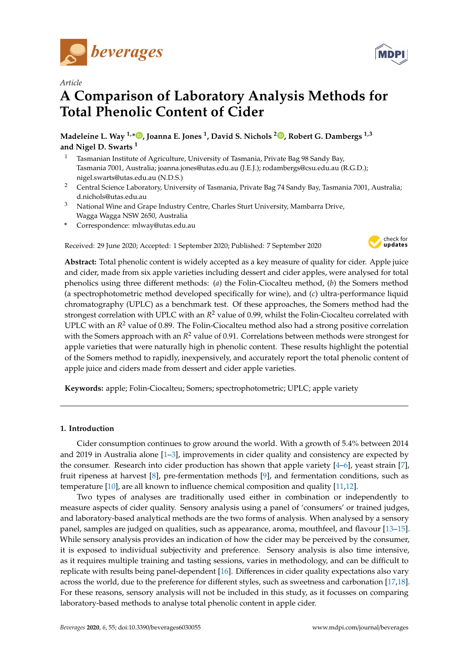



# **A Comparison of Laboratory Analysis Methods for Total Phenolic Content of Cider**

**Madeleine L. Way 1,[\\*](https://orcid.org/0000-0002-4228-158X) , Joanna E. Jones <sup>1</sup> , David S. Nichols <sup>2</sup> [,](https://orcid.org/0000-0002-8066-3132) Robert G. Dambergs 1,3 and Nigel D. Swarts <sup>1</sup>**

- <sup>1</sup> Tasmanian Institute of Agriculture, University of Tasmania, Private Bag 98 Sandy Bay, Tasmania 7001, Australia; joanna.jones@utas.edu.au (J.E.J.); rodambergs@csu.edu.au (R.G.D.); nigel.swarts@utas.edu.au (N.D.S.)
- <sup>2</sup> Central Science Laboratory, University of Tasmania, Private Bag 74 Sandy Bay, Tasmania 7001, Australia; d.nichols@utas.edu.au
- <sup>3</sup> National Wine and Grape Industry Centre, Charles Sturt University, Mambarra Drive, Wagga Wagga NSW 2650, Australia
- **\*** Correspondence: mlway@utas.edu.au

Received: 29 June 2020; Accepted: 1 September 2020; Published: 7 September 2020



**Abstract:** Total phenolic content is widely accepted as a key measure of quality for cider. Apple juice and cider, made from six apple varieties including dessert and cider apples, were analysed for total phenolics using three different methods: (*a*) the Folin-Ciocalteu method, (*b*) the Somers method (a spectrophotometric method developed specifically for wine), and (*c*) ultra-performance liquid chromatography (UPLC) as a benchmark test. Of these approaches, the Somers method had the strongest correlation with UPLC with an *R* <sup>2</sup> value of 0.99, whilst the Folin-Ciocalteu correlated with UPLC with an  $R^2$  value of 0.89. The Folin-Ciocalteu method also had a strong positive correlation with the Somers approach with an *R* <sup>2</sup> value of 0.91. Correlations between methods were strongest for apple varieties that were naturally high in phenolic content. These results highlight the potential of the Somers method to rapidly, inexpensively, and accurately report the total phenolic content of apple juice and ciders made from dessert and cider apple varieties.

**Keywords:** apple; Folin-Ciocalteu; Somers; spectrophotometric; UPLC; apple variety

# **1. Introduction**

Cider consumption continues to grow around the world. With a growth of 5.4% between 2014 and 2019 in Australia alone  $[1-3]$  $[1-3]$ , improvements in cider quality and consistency are expected by the consumer. Research into cider production has shown that apple variety [\[4–](#page-8-2)[6\]](#page-8-3), yeast strain [\[7\]](#page-8-4), fruit ripeness at harvest [\[8\]](#page-8-5), pre-fermentation methods [\[9\]](#page-8-6), and fermentation conditions, such as temperature [\[10\]](#page-8-7), are all known to influence chemical composition and quality [\[11,](#page-8-8)[12\]](#page-8-9).

Two types of analyses are traditionally used either in combination or independently to measure aspects of cider quality. Sensory analysis using a panel of 'consumers' or trained judges, and laboratory-based analytical methods are the two forms of analysis. When analysed by a sensory panel, samples are judged on qualities, such as appearance, aroma, mouthfeel, and flavour [\[13–](#page-8-10)[15\]](#page-8-11). While sensory analysis provides an indication of how the cider may be perceived by the consumer, it is exposed to individual subjectivity and preference. Sensory analysis is also time intensive, as it requires multiple training and tasting sessions, varies in methodology, and can be difficult to replicate with results being panel-dependent [\[16\]](#page-8-12). Differences in cider quality expectations also vary across the world, due to the preference for different styles, such as sweetness and carbonation [\[17,](#page-8-13)[18\]](#page-8-14). For these reasons, sensory analysis will not be included in this study, as it focusses on comparing laboratory-based methods to analyse total phenolic content in apple cider.

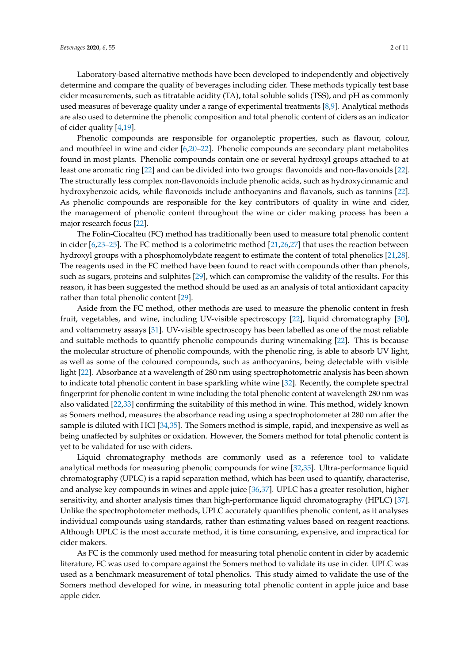Laboratory-based alternative methods have been developed to independently and objectively determine and compare the quality of beverages including cider. These methods typically test base cider measurements, such as titratable acidity (TA), total soluble solids (TSS), and pH as commonly used measures of beverage quality under a range of experimental treatments [\[8,](#page-8-5)[9\]](#page-8-6). Analytical methods are also used to determine the phenolic composition and total phenolic content of ciders as an indicator of cider quality [\[4](#page-8-2)[,19\]](#page-8-15).

Phenolic compounds are responsible for organoleptic properties, such as flavour, colour, and mouthfeel in wine and cider [\[6](#page-8-3)[,20–](#page-9-0)[22\]](#page-9-1). Phenolic compounds are secondary plant metabolites found in most plants. Phenolic compounds contain one or several hydroxyl groups attached to at least one aromatic ring [\[22\]](#page-9-1) and can be divided into two groups: flavonoids and non-flavonoids [\[22\]](#page-9-1). The structurally less complex non-flavonoids include phenolic acids, such as hydroxycinnamic and hydroxybenzoic acids, while flavonoids include anthocyanins and flavanols, such as tannins [\[22\]](#page-9-1). As phenolic compounds are responsible for the key contributors of quality in wine and cider, the management of phenolic content throughout the wine or cider making process has been a major research focus [\[22\]](#page-9-1).

The Folin-Ciocalteu (FC) method has traditionally been used to measure total phenolic content in cider [\[6,](#page-8-3)[23–](#page-9-2)[25\]](#page-9-3). The FC method is a colorimetric method [\[21,](#page-9-4)[26,](#page-9-5)[27\]](#page-9-6) that uses the reaction between hydroxyl groups with a phosphomolybdate reagent to estimate the content of total phenolics [\[21,](#page-9-4)[28\]](#page-9-7). The reagents used in the FC method have been found to react with compounds other than phenols, such as sugars, proteins and sulphites [\[29\]](#page-9-8), which can compromise the validity of the results. For this reason, it has been suggested the method should be used as an analysis of total antioxidant capacity rather than total phenolic content [\[29\]](#page-9-8).

Aside from the FC method, other methods are used to measure the phenolic content in fresh fruit, vegetables, and wine, including UV-visible spectroscopy [\[22\]](#page-9-1), liquid chromatography [\[30\]](#page-9-9), and voltammetry assays [\[31\]](#page-9-10). UV-visible spectroscopy has been labelled as one of the most reliable and suitable methods to quantify phenolic compounds during winemaking [\[22\]](#page-9-1). This is because the molecular structure of phenolic compounds, with the phenolic ring, is able to absorb UV light, as well as some of the coloured compounds, such as anthocyanins, being detectable with visible light [\[22\]](#page-9-1). Absorbance at a wavelength of 280 nm using spectrophotometric analysis has been shown to indicate total phenolic content in base sparkling white wine [\[32\]](#page-9-11). Recently, the complete spectral fingerprint for phenolic content in wine including the total phenolic content at wavelength 280 nm was also validated [\[22](#page-9-1)[,33\]](#page-9-12) confirming the suitability of this method in wine. This method, widely known as Somers method, measures the absorbance reading using a spectrophotometer at 280 nm after the sample is diluted with HCl [\[34,](#page-9-13)[35\]](#page-9-14). The Somers method is simple, rapid, and inexpensive as well as being unaffected by sulphites or oxidation. However, the Somers method for total phenolic content is yet to be validated for use with ciders.

Liquid chromatography methods are commonly used as a reference tool to validate analytical methods for measuring phenolic compounds for wine [\[32](#page-9-11)[,35\]](#page-9-14). Ultra-performance liquid chromatography (UPLC) is a rapid separation method, which has been used to quantify, characterise, and analyse key compounds in wines and apple juice [\[36](#page-9-15)[,37\]](#page-9-16). UPLC has a greater resolution, higher sensitivity, and shorter analysis times than high-performance liquid chromatography (HPLC) [\[37\]](#page-9-16). Unlike the spectrophotometer methods, UPLC accurately quantifies phenolic content, as it analyses individual compounds using standards, rather than estimating values based on reagent reactions. Although UPLC is the most accurate method, it is time consuming, expensive, and impractical for cider makers.

As FC is the commonly used method for measuring total phenolic content in cider by academic literature, FC was used to compare against the Somers method to validate its use in cider. UPLC was used as a benchmark measurement of total phenolics. This study aimed to validate the use of the Somers method developed for wine, in measuring total phenolic content in apple juice and base apple cider.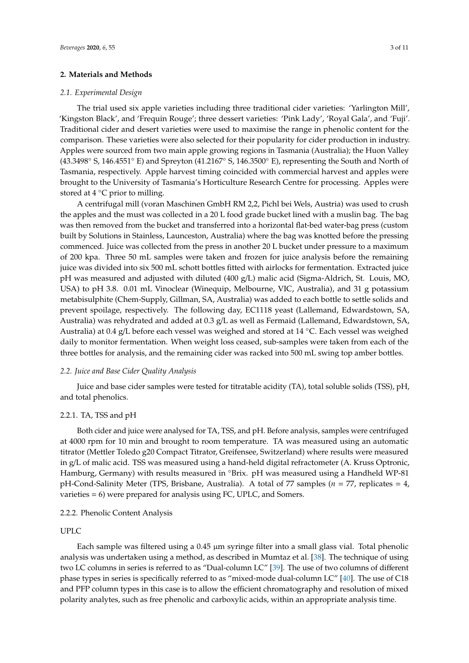#### **2. Materials and Methods**

#### *2.1. Experimental Design*

The trial used six apple varieties including three traditional cider varieties: 'Yarlington Mill', 'Kingston Black', and 'Frequin Rouge'; three dessert varieties: 'Pink Lady', 'Royal Gala', and 'Fuji'. Traditional cider and desert varieties were used to maximise the range in phenolic content for the comparison. These varieties were also selected for their popularity for cider production in industry. Apples were sourced from two main apple growing regions in Tasmania (Australia); the Huon Valley (43.3498◦ S, 146.4551◦ E) and Spreyton (41.2167◦ S, 146.3500◦ E), representing the South and North of Tasmania, respectively. Apple harvest timing coincided with commercial harvest and apples were brought to the University of Tasmania's Horticulture Research Centre for processing. Apples were stored at  $4 °C$  prior to milling.

A centrifugal mill (voran Maschinen GmbH RM 2,2, Pichl bei Wels, Austria) was used to crush the apples and the must was collected in a 20 L food grade bucket lined with a muslin bag. The bag was then removed from the bucket and transferred into a horizontal flat-bed water-bag press (custom built by Solutions in Stainless, Launceston, Australia) where the bag was knotted before the pressing commenced. Juice was collected from the press in another 20 L bucket under pressure to a maximum of 200 kpa. Three 50 mL samples were taken and frozen for juice analysis before the remaining juice was divided into six 500 mL schott bottles fitted with airlocks for fermentation. Extracted juice pH was measured and adjusted with diluted (400 g/L) malic acid (Sigma-Aldrich, St. Louis, MO, USA) to pH 3.8. 0.01 mL Vinoclear (Winequip, Melbourne, VIC, Australia), and 31 g potassium metabisulphite (Chem-Supply, Gillman, SA, Australia) was added to each bottle to settle solids and prevent spoilage, respectively. The following day, EC1118 yeast (Lallemand, Edwardstown, SA, Australia) was rehydrated and added at 0.3 g/L as well as Fermaid (Lallemand, Edwardstown, SA, Australia) at 0.4 g/L before each vessel was weighed and stored at 14 ◦C. Each vessel was weighed daily to monitor fermentation. When weight loss ceased, sub-samples were taken from each of the three bottles for analysis, and the remaining cider was racked into 500 mL swing top amber bottles.

#### *2.2. Juice and Base Cider Quality Analysis*

Juice and base cider samples were tested for titratable acidity (TA), total soluble solids (TSS), pH, and total phenolics.

#### 2.2.1. TA, TSS and pH

Both cider and juice were analysed for TA, TSS, and pH. Before analysis, samples were centrifuged at 4000 rpm for 10 min and brought to room temperature. TA was measured using an automatic titrator (Mettler Toledo g20 Compact Titrator, Greifensee, Switzerland) where results were measured in g/L of malic acid. TSS was measured using a hand-held digital refractometer (A. Kruss Optronic, Hamburg, Germany) with results measured in °Brix. pH was measured using a Handheld WP-81 pH-Cond-Salinity Meter (TPS, Brisbane, Australia). A total of 77 samples (*n* = 77, replicates = 4, varieties = 6) were prepared for analysis using FC, UPLC, and Somers.

## 2.2.2. Phenolic Content Analysis

## UPLC

Each sample was filtered using a 0.45 µm syringe filter into a small glass vial. Total phenolic analysis was undertaken using a method, as described in Mumtaz et al. [\[38\]](#page-9-17). The technique of using two LC columns in series is referred to as "Dual-column LC" [\[39\]](#page-9-18). The use of two columns of different phase types in series is specifically referred to as "mixed-mode dual-column LC" [\[40\]](#page-10-0). The use of C18 and PFP column types in this case is to allow the efficient chromatography and resolution of mixed polarity analytes, such as free phenolic and carboxylic acids, within an appropriate analysis time.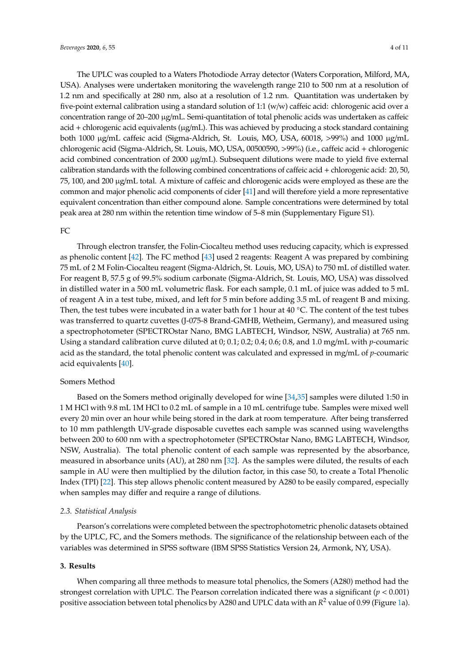The UPLC was coupled to a Waters Photodiode Array detector (Waters Corporation, Milford, MA, USA). Analyses were undertaken monitoring the wavelength range 210 to 500 nm at a resolution of 1.2 nm and specifically at 280 nm, also at a resolution of 1.2 nm. Quantitation was undertaken by five-point external calibration using a standard solution of 1:1 (w/w) caffeic acid: chlorogenic acid over a concentration range of 20–200 µg/mL. Semi-quantitation of total phenolic acids was undertaken as caffeic acid  $+$  chlorogenic acid equivalents ( $\mu$ g/mL). This was achieved by producing a stock standard containing both 1000 µg/mL caffeic acid (Sigma-Aldrich, St. Louis, MO, USA, 60018, >99%) and 1000 µg/mL chlorogenic acid (Sigma-Aldrich, St. Louis, MO, USA, 00500590, >99%) (i.e., caffeic acid + chlorogenic acid combined concentration of  $2000 \mu g/mL$ ). Subsequent dilutions were made to yield five external calibration standards with the following combined concentrations of caffeic acid + chlorogenic acid: 20, 50, 75, 100, and 200 µg/mL total. A mixture of caffeic and chlorogenic acids were employed as these are the common and major phenolic acid components of cider [\[41\]](#page-10-1) and will therefore yield a more representative equivalent concentration than either compound alone. Sample concentrations were determined by total peak area at 280 nm within the retention time window of 5–8 min (Supplementary Figure S1).

### FC

Through electron transfer, the Folin-Ciocalteu method uses reducing capacity, which is expressed as phenolic content [\[42\]](#page-10-2). The FC method [\[43\]](#page-10-3) used 2 reagents: Reagent A was prepared by combining 75 mL of 2 M Folin-Ciocalteu reagent (Sigma-Aldrich, St. Louis, MO, USA) to 750 mL of distilled water. For reagent B, 57.5 g of 99.5% sodium carbonate (Sigma-Aldrich, St. Louis, MO, USA) was dissolved in distilled water in a 500 mL volumetric flask. For each sample, 0.1 mL of juice was added to 5 mL of reagent A in a test tube, mixed, and left for 5 min before adding 3.5 mL of reagent B and mixing. Then, the test tubes were incubated in a water bath for 1 hour at 40  $°C$ . The content of the test tubes was transferred to quartz cuvettes (J-075-8 Brand-GMHB, Wetheim, Germany), and measured using a spectrophotometer (SPECTROstar Nano, BMG LABTECH, Windsor, NSW, Australia) at 765 nm. Using a standard calibration curve diluted at 0; 0.1; 0.2; 0.4; 0.6; 0.8, and 1.0 mg/mL with *p*-coumaric acid as the standard, the total phenolic content was calculated and expressed in mg/mL of *p*-coumaric acid equivalents [\[40\]](#page-10-0).

#### Somers Method

Based on the Somers method originally developed for wine [\[34](#page-9-13)[,35\]](#page-9-14) samples were diluted 1:50 in 1 M HCl with 9.8 mL 1M HCl to 0.2 mL of sample in a 10 mL centrifuge tube. Samples were mixed well every 20 min over an hour while being stored in the dark at room temperature. After being transferred to 10 mm pathlength UV-grade disposable cuvettes each sample was scanned using wavelengths between 200 to 600 nm with a spectrophotometer (SPECTROstar Nano, BMG LABTECH, Windsor, NSW, Australia). The total phenolic content of each sample was represented by the absorbance, measured in absorbance units (AU), at 280 nm [\[32\]](#page-9-11). As the samples were diluted, the results of each sample in AU were then multiplied by the dilution factor, in this case 50, to create a Total Phenolic Index (TPI) [\[22\]](#page-9-1). This step allows phenolic content measured by A280 to be easily compared, especially when samples may differ and require a range of dilutions.

#### *2.3. Statistical Analysis*

Pearson's correlations were completed between the spectrophotometric phenolic datasets obtained by the UPLC, FC, and the Somers methods. The significance of the relationship between each of the variables was determined in SPSS software (IBM SPSS Statistics Version 24, Armonk, NY, USA).

## **3. Results**

When comparing all three methods to measure total phenolics, the Somers (A280) method had the strongest correlation with UPLC. The Pearson correlation indicated there was a significant ( $p < 0.001$ ) positive association between total phenolics by A280 and UPLC data with an *R* <sup>2</sup> value of 0.99 (Figure [1a](#page-5-0)).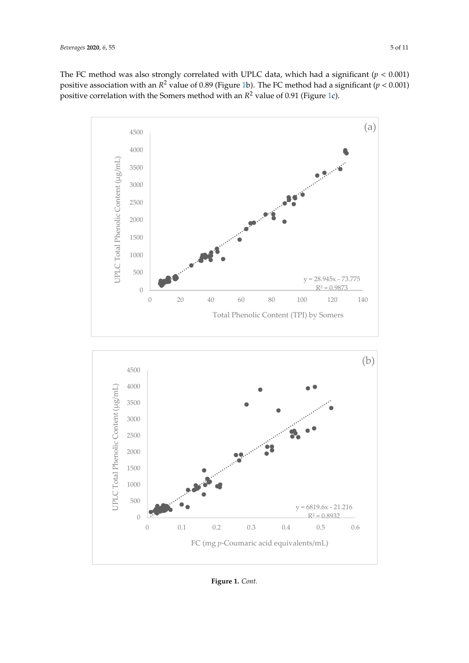

**Figure 1.** *Cont.*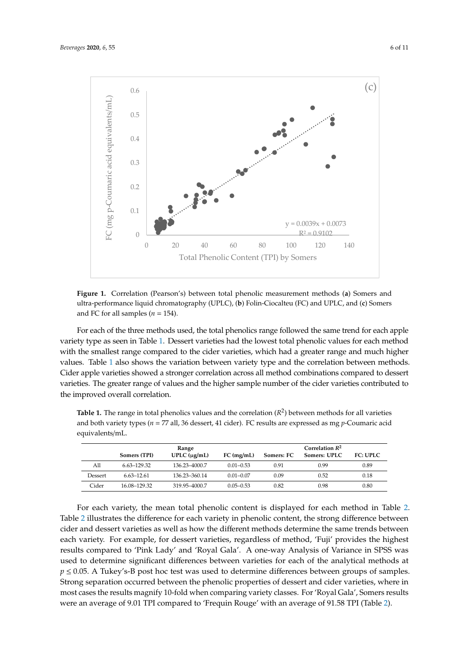<span id="page-5-0"></span>

**Figure 1.** Correlation (Pearson's) between total phenolic measurement methods (**a**) Somers and performance liquid chromatography (UPLC), (**b**) Folin-Ciocalteu (FC) and UPLC, and (**c**) Somers and ultra-performance liquid chromatography (UPLC), (**b**) Folin-Ciocalteu (FC) and UPLC, and (**c**) Somers FC for all samples (*n* = 154). and FC for all samples (*n* = 154).

For each of the three methods used, the total phenolics range followed the same trend for each apple variety type as seen in Table [1.](#page-5-1) Dessert varieties had the lowest total phenolic values for each method values with the smallest range compared to the cider varieties, which had a greater range and much higher with the smallest range compared to the cider varieties, which had a greater range and much higher values. Table [1](#page-5-1) also shows the variation between variety type and the correlation between methods. Cider apple varieties showed a stronger correlation across all method combinations compared to dessert varieties. The greater range of values and the higher sample number of the cider varieties contributed to the improved overall correlation.

<span id="page-5-1"></span>**Table 1.** The range in total phenolics values and the correlation (*R*2) between methods for all varieties and both variety types ( $n = 77$  all, 36 dessert, 41 cider). FC results are expressed as mg  $p$ -Coumaric acid<br>a suite lark (mJ  $\mathbf{r}$  and  $\mathbf{r}$ **Table 1.** The range in total phenolics values and the correlation  $(R^2)$  between methods for all varieties equivalents/mL.

|         | Range           |                   |               | Correlation $R^2$ |                     |                 |  |
|---------|-----------------|-------------------|---------------|-------------------|---------------------|-----------------|--|
|         | Somers (TPI)    | UPLC $(\mu g/mL)$ | FC (mg/mL)    | <b>Somers: FC</b> | <b>Somers: UPLC</b> | <b>FC: UPLC</b> |  |
| All     | $6.63 - 129.32$ | 136.23-4000.7     | $0.01 - 0.53$ | 0.91              | 0.99                | 0.89            |  |
| Dessert | $6.63 - 12.61$  | 136.23-360.14     | $0.01 - 0.07$ | 0.09              | 0.52                | 0.18            |  |
| Cider   | 16.08-129.32    | 319.95-4000.7     | $0.05 - 0.53$ | 0.82              | 0.98                | 0.80            |  |

Table 2 illustrates the difference for each variety in phenolic content, the strong difference between cider and dessert varieties as well as how the different methods determine the same trends between each variety. For example, for dessert varieties, regardless of method, 'Fuji' provides the highest results compared to 'Pink Lady' and 'Royal Gala'. A one-way Analysis of Variance in SPSS was used to determine significant differences between varieties for each of the analytical methods at  $p \leq 0.05$ . A Tukey's-B post hoc test was used to determine differences between groups of samples.<br>Strong separation occurred between the phenolic properties of dessert and cider varieties, where in Strong separation occurred between the phenolic properties of dessert and cider varieties, where in most cases the results magnify 10-fold when comparing variety classes. For 'Royal Gala', Somers results were an average of 9.01 TPI compared to 'Frequin Rouge' with an average of 91.58 TPI (Table 2). For each variety, the mean total phenolic content is displayed for each method in Table [2.](#page-6-0)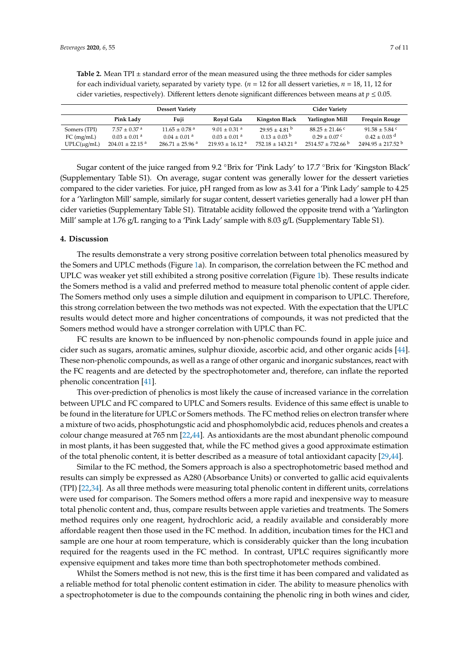|                                                |                                                                                             | <b>Dessert Variety</b>                                                                       |                                                                                             | <b>Cider Variety</b>                                                      |                                                                            |                                                                                   |  |
|------------------------------------------------|---------------------------------------------------------------------------------------------|----------------------------------------------------------------------------------------------|---------------------------------------------------------------------------------------------|---------------------------------------------------------------------------|----------------------------------------------------------------------------|-----------------------------------------------------------------------------------|--|
|                                                | Pink Lady                                                                                   | Fuji                                                                                         | Royal Gala                                                                                  | <b>Kingston Black</b>                                                     | Yarlington Mill                                                            | <b>Frequin Rouge</b>                                                              |  |
| Somers (TPI)<br>FC (mg/mL)<br>$UPLC(\mu g/mL)$ | $7.57 + 0.37$ <sup>a</sup><br>$0.03 + 0.01$ <sup>a</sup><br>$204.01 \pm 22.15$ <sup>a</sup> | $11.65 + 0.78$ <sup>a</sup><br>$0.04 + 0.01$ <sup>a</sup><br>$286.71 \pm 25.96$ <sup>a</sup> | $9.01 + 0.31$ <sup>a</sup><br>$0.03 + 0.01$ <sup>a</sup><br>$219.93 \pm 16.12$ <sup>a</sup> | $29.95 + 4.81$ b<br>$0.13 + 0.03^{b}$<br>$752.18 \pm 143.21$ <sup>a</sup> | $88.25 + 21.46^{\circ}$<br>$0.29 + 0.07$ c<br>$2514.57 \pm 732.66^{\circ}$ | $91.58 + 5.84$ c<br>$0.42 + 0.03$ <sup>d</sup><br>$2494.95 + 217.52$ <sup>b</sup> |  |

<span id="page-6-0"></span>**Table 2.** Mean TPI ± standard error of the mean measured using the three methods for cider samples for each individual variety, separated by variety type.  $(n = 12$  for all dessert varieties,  $n = 18, 11, 12$  for cider varieties, respectively). Different letters denote significant differences between means at  $p \le 0.05$ .

Sugar content of the juice ranged from 9.2 °Brix for 'Pink Lady' to 17.7 °Brix for 'Kingston Black' (Supplementary Table S1). On average, sugar content was generally lower for the dessert varieties compared to the cider varieties. For juice, pH ranged from as low as 3.41 for a 'Pink Lady' sample to 4.25 for a 'Yarlington Mill' sample, similarly for sugar content, dessert varieties generally had a lower pH than cider varieties (Supplementary Table S1). Titratable acidity followed the opposite trend with a 'Yarlington Mill' sample at 1.76 g/L ranging to a 'Pink Lady' sample with 8.03 g/L (Supplementary Table S1).

## **4. Discussion**

The results demonstrate a very strong positive correlation between total phenolics measured by the Somers and UPLC methods (Figure [1a](#page-5-0)). In comparison, the correlation between the FC method and UPLC was weaker yet still exhibited a strong positive correlation (Figure [1b](#page-5-0)). These results indicate the Somers method is a valid and preferred method to measure total phenolic content of apple cider. The Somers method only uses a simple dilution and equipment in comparison to UPLC. Therefore, this strong correlation between the two methods was not expected. With the expectation that the UPLC results would detect more and higher concentrations of compounds, it was not predicted that the Somers method would have a stronger correlation with UPLC than FC.

FC results are known to be influenced by non-phenolic compounds found in apple juice and cider such as sugars, aromatic amines, sulphur dioxide, ascorbic acid, and other organic acids [\[44\]](#page-10-4). These non-phenolic compounds, as well as a range of other organic and inorganic substances, react with the FC reagents and are detected by the spectrophotometer and, therefore, can inflate the reported phenolic concentration [\[41\]](#page-10-1).

This over-prediction of phenolics is most likely the cause of increased variance in the correlation between UPLC and FC compared to UPLC and Somers results. Evidence of this same effect is unable to be found in the literature for UPLC or Somers methods. The FC method relies on electron transfer where a mixture of two acids, phosphotungstic acid and phosphomolybdic acid, reduces phenols and creates a colour change measured at 765 nm [\[22,](#page-9-1)[44\]](#page-10-4). As antioxidants are the most abundant phenolic compound in most plants, it has been suggested that, while the FC method gives a good approximate estimation of the total phenolic content, it is better described as a measure of total antioxidant capacity [\[29](#page-9-8)[,44\]](#page-10-4).

Similar to the FC method, the Somers approach is also a spectrophotometric based method and results can simply be expressed as A280 (Absorbance Units) or converted to gallic acid equivalents (TPI) [\[22](#page-9-1)[,34\]](#page-9-13). As all three methods were measuring total phenolic content in different units, correlations were used for comparison. The Somers method offers a more rapid and inexpensive way to measure total phenolic content and, thus, compare results between apple varieties and treatments. The Somers method requires only one reagent, hydrochloric acid, a readily available and considerably more affordable reagent then those used in the FC method. In addition, incubation times for the HCl and sample are one hour at room temperature, which is considerably quicker than the long incubation required for the reagents used in the FC method. In contrast, UPLC requires significantly more expensive equipment and takes more time than both spectrophotometer methods combined.

Whilst the Somers method is not new, this is the first time it has been compared and validated as a reliable method for total phenolic content estimation in cider. The ability to measure phenolics with a spectrophotometer is due to the compounds containing the phenolic ring in both wines and cider,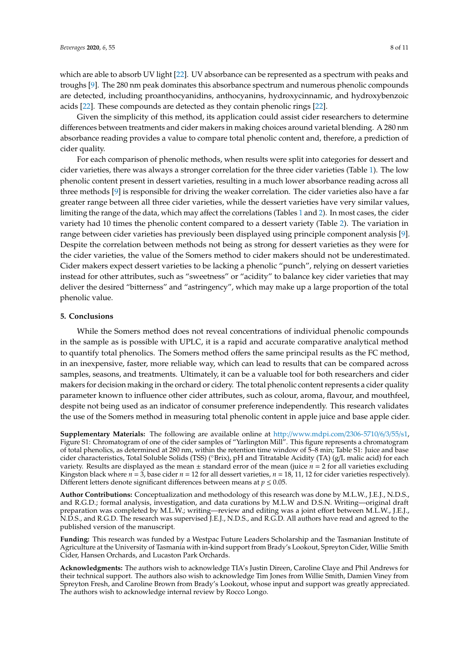which are able to absorb UV light [\[22\]](#page-9-1). UV absorbance can be represented as a spectrum with peaks and troughs [\[9\]](#page-8-6). The 280 nm peak dominates this absorbance spectrum and numerous phenolic compounds are detected, including proanthocyanidins, anthocyanins, hydroxycinnamic, and hydroxybenzoic acids [\[22\]](#page-9-1). These compounds are detected as they contain phenolic rings [\[22\]](#page-9-1).

Given the simplicity of this method, its application could assist cider researchers to determine differences between treatments and cider makers in making choices around varietal blending. A 280 nm absorbance reading provides a value to compare total phenolic content and, therefore, a prediction of cider quality.

For each comparison of phenolic methods, when results were split into categories for dessert and cider varieties, there was always a stronger correlation for the three cider varieties (Table [1\)](#page-5-1). The low phenolic content present in dessert varieties, resulting in a much lower absorbance reading across all three methods [\[9\]](#page-8-6) is responsible for driving the weaker correlation. The cider varieties also have a far greater range between all three cider varieties, while the dessert varieties have very similar values, limiting the range of the data, which may affect the correlations (Tables [1](#page-5-1) and [2\)](#page-6-0). In most cases, the cider variety had 10 times the phenolic content compared to a dessert variety (Table [2\)](#page-6-0). The variation in range between cider varieties has previously been displayed using principle component analysis [\[9\]](#page-8-6). Despite the correlation between methods not being as strong for dessert varieties as they were for the cider varieties, the value of the Somers method to cider makers should not be underestimated. Cider makers expect dessert varieties to be lacking a phenolic "punch", relying on dessert varieties instead for other attributes, such as "sweetness" or "acidity" to balance key cider varieties that may deliver the desired "bitterness" and "astringency", which may make up a large proportion of the total phenolic value.

#### **5. Conclusions**

While the Somers method does not reveal concentrations of individual phenolic compounds in the sample as is possible with UPLC, it is a rapid and accurate comparative analytical method to quantify total phenolics. The Somers method offers the same principal results as the FC method, in an inexpensive, faster, more reliable way, which can lead to results that can be compared across samples, seasons, and treatments. Ultimately, it can be a valuable tool for both researchers and cider makers for decision making in the orchard or cidery. The total phenolic content represents a cider quality parameter known to influence other cider attributes, such as colour, aroma, flavour, and mouthfeel, despite not being used as an indicator of consumer preference independently. This research validates the use of the Somers method in measuring total phenolic content in apple juice and base apple cider.

**Supplementary Materials:** The following are available online at http://[www.mdpi.com](http://www.mdpi.com/2306-5710/6/3/55/s1)/2306-5710/6/3/55/s1, Figure S1: Chromatogram of one of the cider samples of "Yarlington Mill". This figure represents a chromatogram of total phenolics, as determined at 280 nm, within the retention time window of 5–8 min; Table S1: Juice and base cider characteristics, Total Soluble Solids (TSS) (°Brix), pH and Titratable Acidity (TA) (g/L malic acid) for each variety. Results are displayed as the mean ± standard error of the mean (juice *n* = 2 for all varieties excluding Kingston black where  $n = 3$ , base cider  $n = 12$  for all dessert varieties,  $n = 18$ , 11, 12 for cider varieties respectively). Different letters denote significant differences between means at  $p \leq 0.05$ .

**Author Contributions:** Conceptualization and methodology of this research was done by M.L.W., J.E.J., N.D.S., and R.G.D.; formal analysis, investigation, and data curations by M.L.W and D.S.N. Writing—original draft preparation was completed by M.L.W.; writing—review and editing was a joint effort between M.L.W., J.E.J., N.D.S., and R.G.D. The research was supervised J.E.J., N.D.S., and R.G.D. All authors have read and agreed to the published version of the manuscript.

**Funding:** This research was funded by a Westpac Future Leaders Scholarship and the Tasmanian Institute of Agriculture at the University of Tasmania with in-kind support from Brady's Lookout, Spreyton Cider, Willie Smith Cider, Hansen Orchards, and Lucaston Park Orchards.

**Acknowledgments:** The authors wish to acknowledge TIA's Justin Direen, Caroline Claye and Phil Andrews for their technical support. The authors also wish to acknowledge Tim Jones from Willie Smith, Damien Viney from Spreyton Fresh, and Caroline Brown from Brady's Lookout, whose input and support was greatly appreciated. The authors wish to acknowledge internal review by Rocco Longo.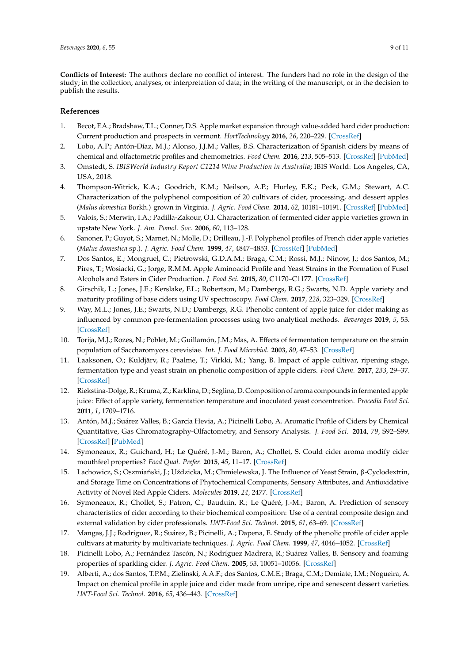**Conflicts of Interest:** The authors declare no conflict of interest. The funders had no role in the design of the study; in the collection, analyses, or interpretation of data; in the writing of the manuscript, or in the decision to publish the results.

## **References**

- <span id="page-8-0"></span>1. Becot, F.A.; Bradshaw, T.L.; Conner, D.S. Apple market expansion through value-added hard cider production: Current production and prospects in vermont. *HortTechnology* **2016**, *26*, 220–229. [\[CrossRef\]](http://dx.doi.org/10.21273/HORTTECH.26.2.220)
- 2. Lobo, A.P.; Antón-Díaz, M.J.; Alonso, J.J.M.; Valles, B.S. Characterization of Spanish ciders by means of chemical and olfactometric profiles and chemometrics. *Food Chem.* **2016**, *213*, 505–513. [\[CrossRef\]](http://dx.doi.org/10.1016/j.foodchem.2016.06.063) [\[PubMed\]](http://www.ncbi.nlm.nih.gov/pubmed/27451210)
- <span id="page-8-1"></span>3. Omstedt, S. *IBISWorld Industry Report C1214 Wine Production in Australia*; IBIS World: Los Angeles, CA, USA, 2018.
- <span id="page-8-2"></span>4. Thompson-Witrick, K.A.; Goodrich, K.M.; Neilson, A.P.; Hurley, E.K.; Peck, G.M.; Stewart, A.C. Characterization of the polyphenol composition of 20 cultivars of cider, processing, and dessert apples (*Malus domestica* Borkh.) grown in Virginia. *J. Agric. Food Chem.* **2014**, *62*, 10181–10191. [\[CrossRef\]](http://dx.doi.org/10.1021/jf503379t) [\[PubMed\]](http://www.ncbi.nlm.nih.gov/pubmed/25228269)
- 5. Valois, S.; Merwin, I.A.; Padilla-Zakour, O.I. Characterization of fermented cider apple varieties grown in upstate New York. *J. Am. Pomol. Soc.* **2006**, *60*, 113–128.
- <span id="page-8-3"></span>6. Sanoner, P.; Guyot, S.; Marnet, N.; Molle, D.; Drilleau, J.-F. Polyphenol profiles of French cider apple varieties (*Malus domestica* sp.). *J. Agric. Food Chem.* **1999**, *47*, 4847–4853. [\[CrossRef\]](http://dx.doi.org/10.1021/jf990563y) [\[PubMed\]](http://www.ncbi.nlm.nih.gov/pubmed/10606541)
- <span id="page-8-4"></span>7. Dos Santos, E.; Mongruel, C.; Pietrowski, G.D.A.M.; Braga, C.M.; Rossi, M.J.; Ninow, J.; dos Santos, M.; Pires, T.; Wosiacki, G.; Jorge, R.M.M. Apple Aminoacid Profile and Yeast Strains in the Formation of Fusel Alcohols and Esters in Cider Production. *J. Food Sci.* **2015**, *80*, C1170–C1177. [\[CrossRef\]](http://dx.doi.org/10.1111/1750-3841.12879)
- <span id="page-8-5"></span>8. Girschik, L.; Jones, J.E.; Kerslake, F.L.; Robertson, M.; Dambergs, R.G.; Swarts, N.D. Apple variety and maturity profiling of base ciders using UV spectroscopy. *Food Chem.* **2017**, *228*, 323–329. [\[CrossRef\]](http://dx.doi.org/10.1016/j.foodchem.2017.02.012)
- <span id="page-8-6"></span>9. Way, M.L.; Jones, J.E.; Swarts, N.D.; Dambergs, R.G. Phenolic content of apple juice for cider making as influenced by common pre-fermentation processes using two analytical methods. *Beverages* **2019**, *5*, 53. [\[CrossRef\]](http://dx.doi.org/10.3390/beverages5030053)
- <span id="page-8-7"></span>10. Torija, M.J.; Rozes, N.; Poblet, M.; Guillamón, J.M.; Mas, A. Effects of fermentation temperature on the strain population of Saccharomyces cerevisiae. *Int. J. Food Microbiol.* **2003**, *80*, 47–53. [\[CrossRef\]](http://dx.doi.org/10.1016/S0168-1605(02)00144-7)
- <span id="page-8-8"></span>11. Laaksonen, O.; Kuldjärv, R.; Paalme, T.; Virkki, M.; Yang, B. Impact of apple cultivar, ripening stage, fermentation type and yeast strain on phenolic composition of apple ciders. *Food Chem.* **2017**, *233*, 29–37. [\[CrossRef\]](http://dx.doi.org/10.1016/j.foodchem.2017.04.067)
- <span id="page-8-9"></span>12. Riekstina-Dolge, R.; Kruma, Z.; Karklina, D.; Seglina, D. Composition of aroma compounds in fermented apple juice: Effect of apple variety, fermentation temperature and inoculated yeast concentration. *Procedia Food Sci.* **2011**, *1*, 1709–1716.
- <span id="page-8-10"></span>13. Antón, M.J.; Suárez Valles, B.; García Hevia, A.; Picinelli Lobo, A. Aromatic Profile of Ciders by Chemical Quantitative, Gas Chromatography-Olfactometry, and Sensory Analysis. *J. Food Sci.* **2014**, *79*, S92–S99. [\[CrossRef\]](http://dx.doi.org/10.1111/1750-3841.12323) [\[PubMed\]](http://www.ncbi.nlm.nih.gov/pubmed/24313985)
- 14. Symoneaux, R.; Guichard, H.; Le Quéré, J.-M.; Baron, A.; Chollet, S. Could cider aroma modify cider mouthfeel properties? *Food Qual. Prefer.* **2015**, *45*, 11–17. [\[CrossRef\]](http://dx.doi.org/10.1016/j.foodqual.2015.04.004)
- <span id="page-8-11"></span>15. Lachowicz, S.; Oszmiański, J.; Uździcka, M.; Chmielewska, J. The Influence of Yeast Strain, β-Cyclodextrin, and Storage Time on Concentrations of Phytochemical Components, Sensory Attributes, and Antioxidative Activity of Novel Red Apple Ciders. *Molecules* **2019**, *24*, 2477. [\[CrossRef\]](http://dx.doi.org/10.3390/molecules24132477)
- <span id="page-8-12"></span>16. Symoneaux, R.; Chollet, S.; Patron, C.; Bauduin, R.; Le Quéré, J.-M.; Baron, A. Prediction of sensory characteristics of cider according to their biochemical composition: Use of a central composite design and external validation by cider professionals. *LWT-Food Sci. Technol.* **2015**, *61*, 63–69. [\[CrossRef\]](http://dx.doi.org/10.1016/j.lwt.2014.11.030)
- <span id="page-8-13"></span>17. Mangas, J.J.; Rodríguez, R.; Suárez, B.; Picinelli, A.; Dapena, E. Study of the phenolic profile of cider apple cultivars at maturity by multivariate techniques. *J. Agric. Food Chem.* **1999**, *47*, 4046–4052. [\[CrossRef\]](http://dx.doi.org/10.1021/jf9903197)
- <span id="page-8-14"></span>18. Picinelli Lobo, A.; Fernández Tascón, N.; Rodríguez Madrera, R.; Suárez Valles, B. Sensory and foaming properties of sparkling cider. *J. Agric. Food Chem.* **2005**, *53*, 10051–10056. [\[CrossRef\]](http://dx.doi.org/10.1021/jf0514524)
- <span id="page-8-15"></span>19. Alberti, A.; dos Santos, T.P.M.; Zielinski, A.A.F.; dos Santos, C.M.E.; Braga, C.M.; Demiate, I.M.; Nogueira, A. Impact on chemical profile in apple juice and cider made from unripe, ripe and senescent dessert varieties. *LWT-Food Sci. Technol.* **2016**, *65*, 436–443. [\[CrossRef\]](http://dx.doi.org/10.1016/j.lwt.2015.08.045)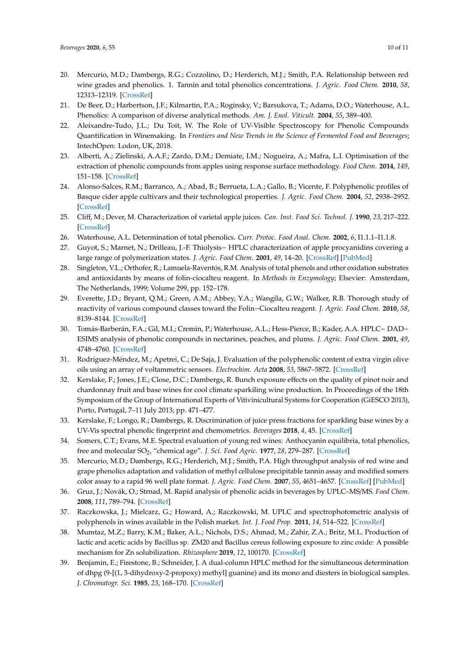- <span id="page-9-0"></span>20. Mercurio, M.D.; Dambergs, R.G.; Cozzolino, D.; Herderich, M.J.; Smith, P.A. Relationship between red wine grades and phenolics. 1. Tannin and total phenolics concentrations. *J. Agric. Food Chem.* **2010**, *58*, 12313–12319. [\[CrossRef\]](http://dx.doi.org/10.1021/jf103230b)
- <span id="page-9-4"></span>21. De Beer, D.; Harbertson, J.F.; Kilmartin, P.A.; Roginsky, V.; Barsukova, T.; Adams, D.O.; Waterhouse, A.L. Phenolics: A comparison of diverse analytical methods. *Am. J. Enol. Viticult.* **2004**, *55*, 389–400.
- <span id="page-9-1"></span>22. Aleixandre-Tudo, J.L.; Du Toit, W. The Role of UV-Visible Spectroscopy for Phenolic Compounds Quantification in Winemaking. In *Frontiers and New Trends in the Science of Fermented Food and Beverages*; IntechOpen: Lodon, UK, 2018.
- <span id="page-9-2"></span>23. Alberti, A.; Zielinski, A.A.F.; Zardo, D.M.; Demiate, I.M.; Nogueira, A.; Mafra, L.I. Optimisation of the extraction of phenolic compounds from apples using response surface methodology. *Food Chem.* **2014**, *149*, 151–158. [\[CrossRef\]](http://dx.doi.org/10.1016/j.foodchem.2013.10.086)
- 24. Alonso-Salces, R.M.; Barranco, A.; Abad, B.; Berrueta, L.A.; Gallo, B.; Vicente, F. Polyphenolic profiles of Basque cider apple cultivars and their technological properties. *J. Agric. Food Chem.* **2004**, *52*, 2938–2952. [\[CrossRef\]](http://dx.doi.org/10.1021/jf035416l)
- <span id="page-9-3"></span>25. Cliff, M.; Dever, M. Characterization of varietal apple juices. *Can. Inst. Food Sci. Technol. J.* **1990**, *23*, 217–222. [\[CrossRef\]](http://dx.doi.org/10.1016/S0315-5463(90)70246-5)
- <span id="page-9-5"></span>26. Waterhouse, A.L. Determination of total phenolics. *Curr. Protoc. Food Anal. Chem.* **2002**, *6*, I1.1.1–I1.1.8.
- <span id="page-9-6"></span>27. Guyot, S.; Marnet, N.; Drilleau, J.-F. Thiolysis− HPLC characterization of apple procyanidins covering a large range of polymerization states. *J. Agric. Food Chem.* **2001**, *49*, 14–20. [\[CrossRef\]](http://dx.doi.org/10.1021/jf000814z) [\[PubMed\]](http://www.ncbi.nlm.nih.gov/pubmed/11170553)
- <span id="page-9-7"></span>28. Singleton, V.L.; Orthofer, R.; Lamuela-Raventós, R.M. Analysis of total phenols and other oxidation substrates and antioxidants by means of folin-ciocalteu reagent. In *Methods in Enzymology*; Elsevier: Amsterdam, The Netherlands, 1999; Volume 299, pp. 152–178.
- <span id="page-9-8"></span>29. Everette, J.D.; Bryant, Q.M.; Green, A.M.; Abbey, Y.A.; Wangila, G.W.; Walker, R.B. Thorough study of reactivity of various compound classes toward the Folin−Ciocalteu reagent. *J. Agric. Food Chem.* **2010**, *58*, 8139–8144. [\[CrossRef\]](http://dx.doi.org/10.1021/jf1005935)
- <span id="page-9-9"></span>30. Tomás-Barberán, F.A.; Gil, M.I.; Cremin, P.; Waterhouse, A.L.; Hess-Pierce, B.; Kader, A.A. HPLC− DAD− ESIMS analysis of phenolic compounds in nectarines, peaches, and plums. *J. Agric. Food Chem.* **2001**, *49*, 4748–4760. [\[CrossRef\]](http://dx.doi.org/10.1021/jf0104681)
- <span id="page-9-10"></span>31. Rodríguez-Méndez, M.; Apetrei, C.; De Saja, J. Evaluation of the polyphenolic content of extra virgin olive oils using an array of voltammetric sensors. *Electrochim. Acta* **2008**, *53*, 5867–5872. [\[CrossRef\]](http://dx.doi.org/10.1016/j.electacta.2008.04.006)
- <span id="page-9-11"></span>32. Kerslake, F.; Jones, J.E.; Close, D.C.; Dambergs, R. Bunch exposure effects on the quality of pinot noir and chardonnay fruit and base wines for cool climate sparkiling wine production. In Proceedings of the 18th Symposium of the Group of International Experts of Vitivinicultural Systems for Cooperation (GiESCO 2013), Porto, Portugal, 7–11 July 2013; pp. 471–477.
- <span id="page-9-12"></span>33. Kerslake, F.; Longo, R.; Dambergs, R. Discrimination of juice press fractions for sparkling base wines by a UV-Vis spectral phenolic fingerprint and chemometrics. *Beverages* **2018**, *4*, 45. [\[CrossRef\]](http://dx.doi.org/10.3390/beverages4020045)
- <span id="page-9-13"></span>34. Somers, C.T.; Evans, M.E. Spectral evaluation of young red wines: Anthocyanin equilibria, total phenolics, free and molecular SO<sup>2</sup> , "chemical age". *J. Sci. Food Agric.* **1977**, *28*, 279–287. [\[CrossRef\]](http://dx.doi.org/10.1002/jsfa.2740280311)
- <span id="page-9-14"></span>35. Mercurio, M.D.; Dambergs, R.G.; Herderich, M.J.; Smith, P.A. High throughput analysis of red wine and grape phenolics adaptation and validation of methyl cellulose precipitable tannin assay and modified somers color assay to a rapid 96 well plate format. *J. Agric. Food Chem.* **2007**, *55*, 4651–4657. [\[CrossRef\]](http://dx.doi.org/10.1021/jf063674n) [\[PubMed\]](http://www.ncbi.nlm.nih.gov/pubmed/17497877)
- <span id="page-9-15"></span>36. Gruz, J.; Novák, O.; Strnad, M. Rapid analysis of phenolic acids in beverages by UPLC–MS/MS. *Food Chem.* **2008**, *111*, 789–794. [\[CrossRef\]](http://dx.doi.org/10.1016/j.foodchem.2008.05.014)
- <span id="page-9-16"></span>37. Raczkowska, J.; Mielcarz, G.; Howard, A.; Raczkowski, M. UPLC and spectrophotometric analysis of polyphenols in wines available in the Polish market. *Int. J. Food Prop.* **2011**, *14*, 514–522. [\[CrossRef\]](http://dx.doi.org/10.1080/10942910903256964)
- <span id="page-9-17"></span>38. Mumtaz, M.Z.; Barry, K.M.; Baker, A.L.; Nichols, D.S.; Ahmad, M.; Zahir, Z.A.; Britz, M.L. Production of lactic and acetic acids by Bacillus sp. ZM20 and Bacillus cereus following exposure to zinc oxide: A possible mechanism for Zn solubilization. *Rhizosphere* **2019**, *12*, 100170. [\[CrossRef\]](http://dx.doi.org/10.1016/j.rhisph.2019.100170)
- <span id="page-9-18"></span>39. Benjamin, E.; Firestone, B.; Schneider, J. A dual-column HPLC method for the simultaneous determination of dhpg (9-[(1, 3-dihydroxy-2-propoxy) methyl] guanine) and its mono and diesters in biological samples. *J. Chromatogr. Sci.* **1985**, *23*, 168–170. [\[CrossRef\]](http://dx.doi.org/10.1093/chromsci/23.4.168)